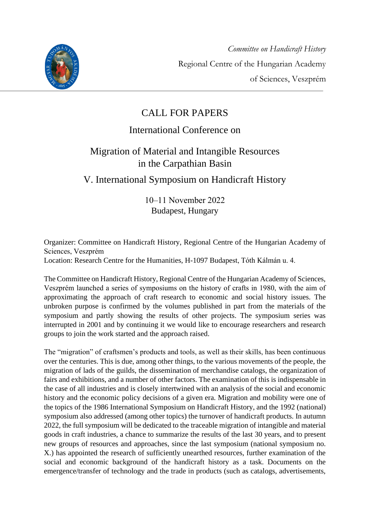

# CALL FOR PAPERS

### International Conference on

# Migration of Material and Intangible Resources in the Carpathian Basin

### V. International Symposium on Handicraft History

10‒11 November 2022 Budapest, Hungary

Organizer: Committee on Handicraft History, Regional Centre of the Hungarian Academy of Sciences, Veszprém

Location: Research Centre for the Humanities, H-1097 Budapest, Tóth Kálmán u. 4.

The Committee on Handicraft History, Regional Centre of the Hungarian Academy of Sciences, Veszprém launched a series of symposiums on the history of crafts in 1980, with the aim of approximating the approach of craft research to economic and social history issues. The unbroken purpose is confirmed by the volumes published in part from the materials of the symposium and partly showing the results of other projects. The symposium series was interrupted in 2001 and by continuing it we would like to encourage researchers and research groups to join the work started and the approach raised.

The "migration" of craftsmen's products and tools, as well as their skills, has been continuous over the centuries. This is due, among other things, to the various movements of the people, the migration of lads of the guilds, the dissemination of merchandise catalogs, the organization of fairs and exhibitions, and a number of other factors. The examination of this is indispensable in the case of all industries and is closely intertwined with an analysis of the social and economic history and the economic policy decisions of a given era. Migration and mobility were one of the topics of the 1986 International Symposium on Handicraft History, and the 1992 (national) symposium also addressed (among other topics) the turnover of handicraft products. In autumn 2022, the full symposium will be dedicated to the traceable migration of intangible and material goods in craft industries, a chance to summarize the results of the last 30 years, and to present new groups of resources and approaches, since the last symposium (national symposium no. X.) has appointed the research of sufficiently unearthed resources, further examination of the social and economic background of the handicraft history as a task. Documents on the emergence/transfer of technology and the trade in products (such as catalogs, advertisements,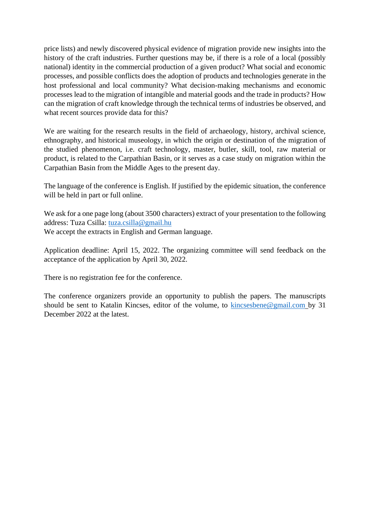price lists) and newly discovered physical evidence of migration provide new insights into the history of the craft industries. Further questions may be, if there is a role of a local (possibly national) identity in the commercial production of a given product? What social and economic processes, and possible conflicts does the adoption of products and technologies generate in the host professional and local community? What decision-making mechanisms and economic processes lead to the migration of intangible and material goods and the trade in products? How can the migration of craft knowledge through the technical terms of industries be observed, and what recent sources provide data for this?

We are waiting for the research results in the field of archaeology, history, archival science, ethnography, and historical museology, in which the origin or destination of the migration of the studied phenomenon, i.e. craft technology, master, butler, skill, tool, raw material or product, is related to the Carpathian Basin, or it serves as a case study on migration within the Carpathian Basin from the Middle Ages to the present day.

The language of the conference is English. If justified by the epidemic situation, the conference will be held in part or full online.

We ask for a one page long (about 3500 characters) extract of your presentation to the following address: Tuza Csilla: [tuza.csilla@gmail.hu](mailto:tuza.csilla@gmail.hu) We accept the extracts in English and German language.

Application deadline: April 15, 2022. The organizing committee will send feedback on the acceptance of the application by April 30, 2022.

There is no registration fee for the conference.

The conference organizers provide an opportunity to publish the papers. The manuscripts should be sent to Katalin Kincses, editor of the volume, to [kincsesbene@gmail.com](mailto:kincsesbene@gmail.com) by 31 December 2022 at the latest.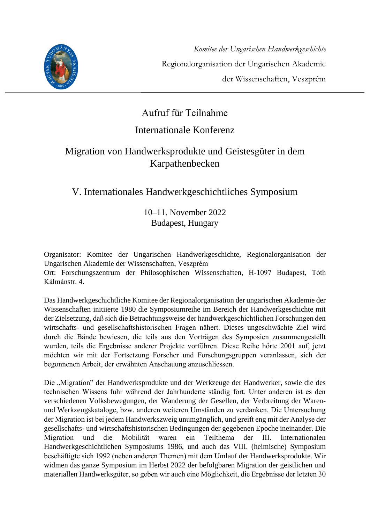

# Aufruf für Teilnahme

### Internationale Konferenz

### Migration von Handwerksprodukte und Geistesgüter in dem Karpathenbecken

## V. Internationales Handwerkgeschichtliches Symposium

#### 10‒11. November 2022 Budapest, Hungary

Organisator: Komitee der Ungarischen Handwerkgeschichte, Regionalorganisation der Ungarischen Akademie der Wissenschaften, Veszprém

Ort: Forschungszentrum der Philosophischen Wissenschaften, H-1097 Budapest, Tóth Kálmánstr. 4.

Das Handwerkgeschichtliche Komitee der Regionalorganisation der ungarischen Akademie der Wissenschaften initiierte 1980 die Symposiumreihe im Bereich der Handwerkgeschichte mit der Zielsetzung, daß sich die Betrachtungsweise der handwerkgeschichtlichen Forschungen den wirtschafts- und gesellschaftshistorischen Fragen nähert. Dieses ungeschwächte Ziel wird durch die Bände bewiesen, die teils aus den Vorträgen des Symposien zusammengestellt wurden, teils die Ergebnisse anderer Projekte vorführen. Diese Reihe hörte 2001 auf, jetzt möchten wir mit der Fortsetzung Forscher und Forschungsgruppen veranlassen, sich der begonnenen Arbeit, der erwähnten Anschauung anzuschliessen.

Die "Migration" der Handwerksprodukte und der Werkzeuge der Handwerker, sowie die des technischen Wissens fuhr während der Jahrhunderte ständig fort. Unter anderen ist es den verschiedenen Volksbewegungen, der Wanderung der Gesellen, der Verbreitung der Warenund Werkzeugskataloge, bzw. anderen weiteren Umständen zu verdanken. Die Untersuchung der Migration ist bei jedem Handwerkszweig unumgänglich, und greift eng mit der Analyse der gesellschafts- und wirtschaftshistorischen Bedingungen der gegebenen Epoche ineinander. Die Migration und die Mobilität waren ein Teilthema der III. Internationalen Handwerkgeschichtlichen Symposiums 1986, und auch das VIII. (heimische) Symposium beschäftigte sich 1992 (neben anderen Themen) mit dem Umlauf der Handwerksprodukte. Wir widmen das ganze Symposium im Herbst 2022 der befolgbaren Migration der geistlichen und materiallen Handwerksgüter, so geben wir auch eine Möglichkeit, die Ergebnisse der letzten 30